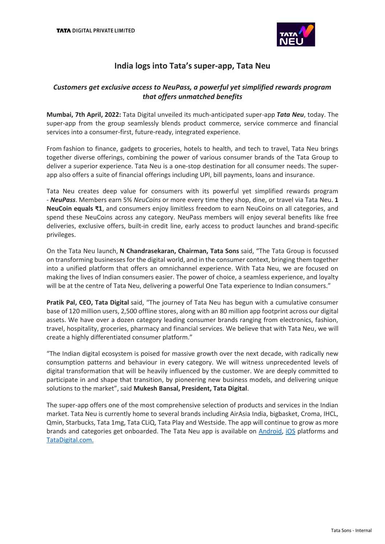

# **India logs into Tata's super-app, Tata Neu**

# *Customers get exclusive access to NeuPass, a powerful yet simplified rewards program that offers unmatched benefits*

**Mumbai, 7th April, 2022:** Tata Digital unveiled its much-anticipated super-app *Tata Neu*, today. The super-app from the group seamlessly blends product commerce, service commerce and financial services into a consumer-first, future-ready, integrated experience.

From fashion to finance, gadgets to groceries, hotels to health, and tech to travel, Tata Neu brings together diverse offerings, combining the power of various consumer brands of the Tata Group to deliver a superior experience. Tata Neu is a one-stop destination for all consumer needs. The superapp also offers a suite of financial offerings including UPI, bill payments, loans and insurance.

Tata Neu creates deep value for consumers with its powerful yet simplified rewards program - *NeuPass*. Members earn 5% *NeuCoins* or more every time they shop, dine, or travel via Tata Neu. **1 NeuCoin equals ₹1**, and consumers enjoy limitless freedom to earn NeuCoins on all categories, and spend these NeuCoins across any category. NeuPass members will enjoy several benefits like free deliveries, exclusive offers, built-in credit line, early access to product launches and brand-specific privileges.

On the Tata Neu launch, **N Chandrasekaran, Chairman, Tata Sons** said, "The Tata Group is focussed on transforming businesses for the digital world, and in the consumer context, bringing them together into a unified platform that offers an omnichannel experience. With Tata Neu, we are focused on making the lives of Indian consumers easier. The power of choice, a seamless experience, and loyalty will be at the centre of Tata Neu, delivering a powerful One Tata experience to Indian consumers."

**Pratik Pal, CEO, Tata Digital** said, "The journey of Tata Neu has begun with a cumulative consumer base of 120 million users, 2,500 offline stores, along with an 80 million app footprint across our digital assets. We have over a dozen category leading consumer brands ranging from electronics, fashion, travel, hospitality, groceries, pharmacy and financial services. We believe that with Tata Neu, we will create a highly differentiated consumer platform."

"The Indian digital ecosystem is poised for massive growth over the next decade, with radically new consumption patterns and behaviour in every category. We will witness unprecedented levels of digital transformation that will be heavily influenced by the customer. We are deeply committed to participate in and shape that transition, by pioneering new business models, and delivering unique solutions to the market", said **Mukesh Bansal, President, Tata Digital**.

The super-app offers one of the most comprehensive selection of products and services in the Indian market. Tata Neu is currently home to several brands including AirAsia India, bigbasket, Croma, IHCL, Qmin, Starbucks, Tata 1mg, Tata CLiQ, Tata Play and Westside. The app will continue to grow as more brands and categories get onboarded. The Tata Neu app is available on [Android,](https://play.google.com/store/apps/details?id=com.tatadigital.tcp) [iOS](https://apps.apple.com/in/app/tata-neu-rewarding-experiences/id1584669293?uo=2) platforms and [TataDigital.com.](https://www.tatadigital.com/homepage)